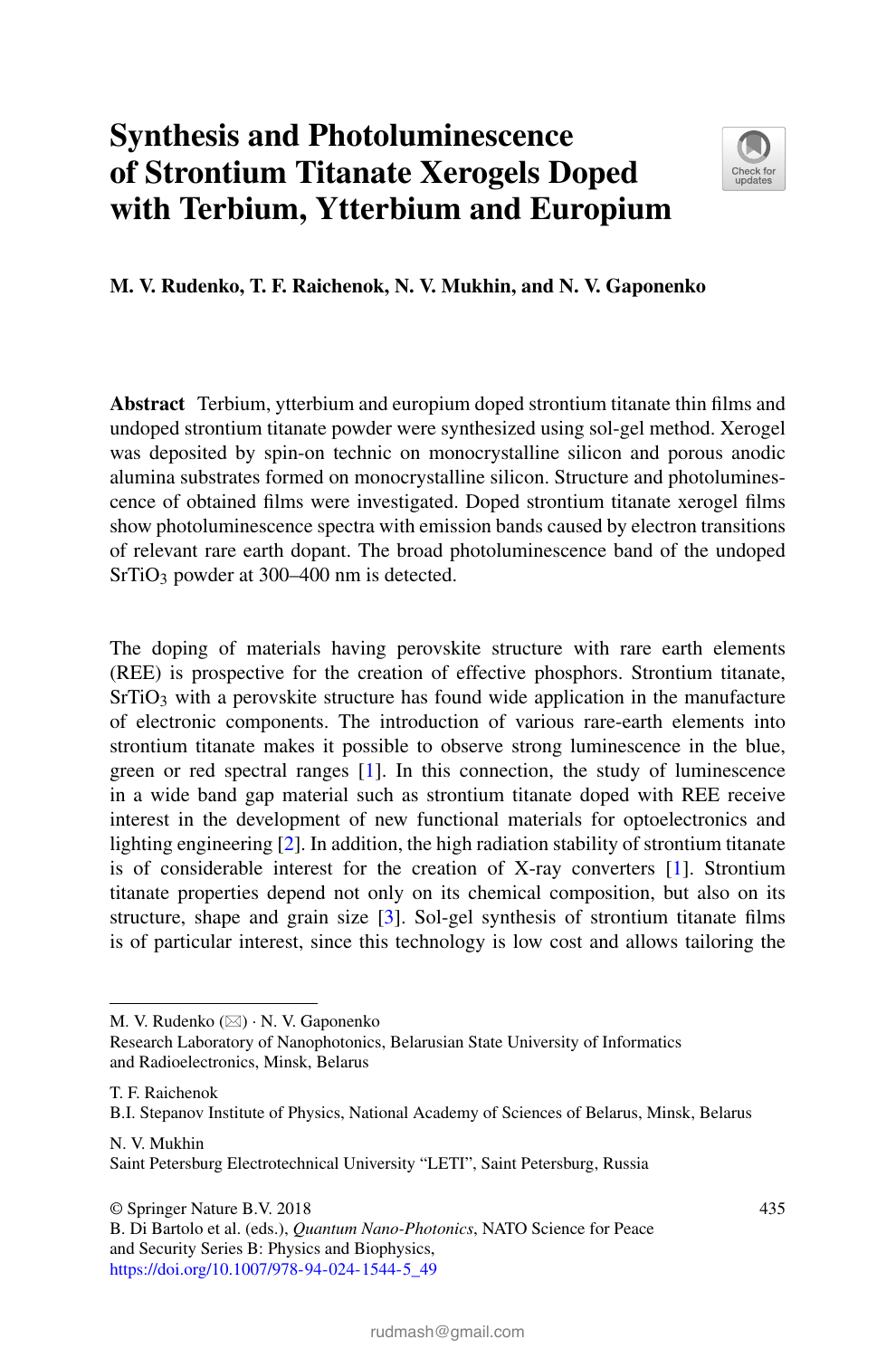## **Synthesis and Photoluminescence of Strontium Titanate Xerogels Doped with Terbium, Ytterbium and Europium**



**M. V. Rudenko, T. F. Raichenok, N. V. Mukhin, and N. V. Gaponenko**

**Abstract** Terbium, ytterbium and europium doped strontium titanate thin films and undoped strontium titanate powder were synthesized using sol-gel method. Xerogel was deposited by spin-on technic on monocrystalline silicon and porous anodic alumina substrates formed on monocrystalline silicon. Structure and photoluminescence of obtained films were investigated. Doped strontium titanate xerogel films show photoluminescence spectra with emission bands caused by electron transitions of relevant rare earth dopant. The broad photoluminescence band of the undoped SrTiO<sub>3</sub> powder at 300–400 nm is detected.

The doping of materials having perovskite structure with rare earth elements (REE) is prospective for the creation of effective phosphors. Strontium titanate,  $SrTiO<sub>3</sub>$  with a perovskite structure has found wide application in the manufacture of electronic components. The introduction of various rare-earth elements into strontium titanate makes it possible to observe strong luminescence in the blue, green or red spectral ranges [1]. In this connection, the study of luminescence in a wide band gap material such as strontium titanate doped with REE receive interest in the development of new functional materials for optoelectronics and lighting engineering [2]. In addition, the high radiation stability of strontium titanate is of considerable interest for the creation of X-ray converters [1]. Strontium titanate properties depend not only on its chemical composition, but also on its structure, shape and grain size [3]. Sol-gel synthesis of strontium titanate films is of particular interest, since this technology is low cost and allows tailoring the

T. F. Raichenok

B.I. Stepanov Institute of Physics, National Academy of Sciences of Belarus, Minsk, Belarus

N. V. Mukhin Saint Petersburg Electrotechnical University "LETI", Saint Petersburg, Russia

© Springer Nature B.V. 2018

M. V. Rudenko (⊠) · N. V. Gaponenko

Research Laboratory of Nanophotonics, Belarusian State University of Informatics and Radioelectronics, Minsk, Belarus

B. Di Bartolo et al. (eds.), *Quantum Nano-Photonics*, NATO Science for Peace and Security Series B: Physics and Biophysics, [https://doi.org/10.1007/978-94-024-1544-5\\_49](https://doi.org/10.1007/978-94-024-1544-5_49)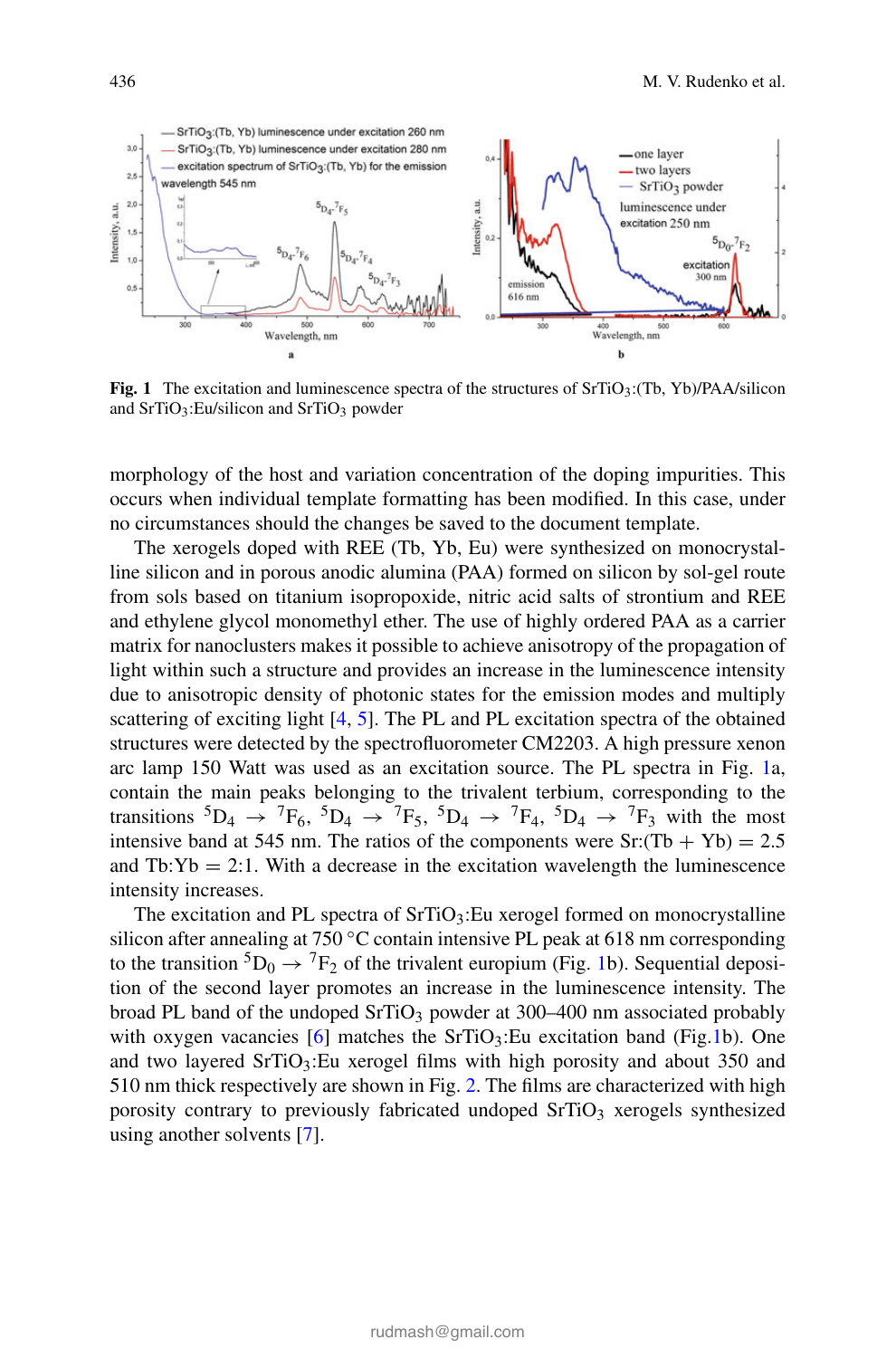

**Fig. 1** The excitation and luminescence spectra of the structures of SrTiO<sub>3</sub>:(Tb, Yb)/PAA/silicon and SrTiO<sub>3</sub>:Eu/silicon and SrTiO<sub>3</sub> powder

morphology of the host and variation concentration of the doping impurities. This occurs when individual template formatting has been modified. In this case, under no circumstances should the changes be saved to the document template.

The xerogels doped with REE (Tb, Yb, Eu) were synthesized on monocrystalline silicon and in porous anodic alumina (PAA) formed on silicon by sol-gel route from sols based on titanium isopropoxide, nitric acid salts of strontium and REE and ethylene glycol monomethyl ether. The use of highly ordered PAA as a carrier matrix for nanoclusters makes it possible to achieve anisotropy of the propagation of light within such a structure and provides an increase in the luminescence intensity due to anisotropic density of photonic states for the emission modes and multiply scattering of exciting light [4, 5]. The PL and PL excitation spectra of the obtained structures were detected by the spectrofluorometer CM2203. A high pressure xenon arc lamp 150 Watt was used as an excitation source. The PL spectra in Fig. 1a, contain the main peaks belonging to the trivalent terbium, corresponding to the transitions  ${}^5D_4 \rightarrow {}^7F_6$ ,  ${}^5D_4 \rightarrow {}^7F_5$ ,  ${}^5D_4 \rightarrow {}^7F_4$ ,  ${}^5D_4 \rightarrow {}^7F_3$  with the most intensive band at 545 nm. The ratios of the components were  $Sr:(Tb + Yb) = 2.5$ and  $Tb:Yb = 2:1$ . With a decrease in the excitation wavelength the luminescence intensity increases.

The excitation and PL spectra of  $SrTiO_3$ : Eu xerogel formed on monocrystalline silicon after annealing at 750 °C contain intensive PL peak at 618 nm corresponding to the transition  ${}^5D_0 \rightarrow {}^7F_2$  of the trivalent europium (Fig. 1b). Sequential deposition of the second layer promotes an increase in the luminescence intensity. The broad PL band of the undoped  $SrTiO<sub>3</sub>$  powder at 300–400 nm associated probably with oxygen vacancies  $[6]$  matches the SrTiO<sub>3</sub>:Eu excitation band (Fig.1b). One and two layered  $SrTiO<sub>3</sub>:Eu$  xerogel films with high porosity and about 350 and 510 nm thick respectively are shown in Fig. 2. The films are characterized with high porosity contrary to previously fabricated undoped  $SrTiO<sub>3</sub>$  xerogels synthesized using another solvents [7].